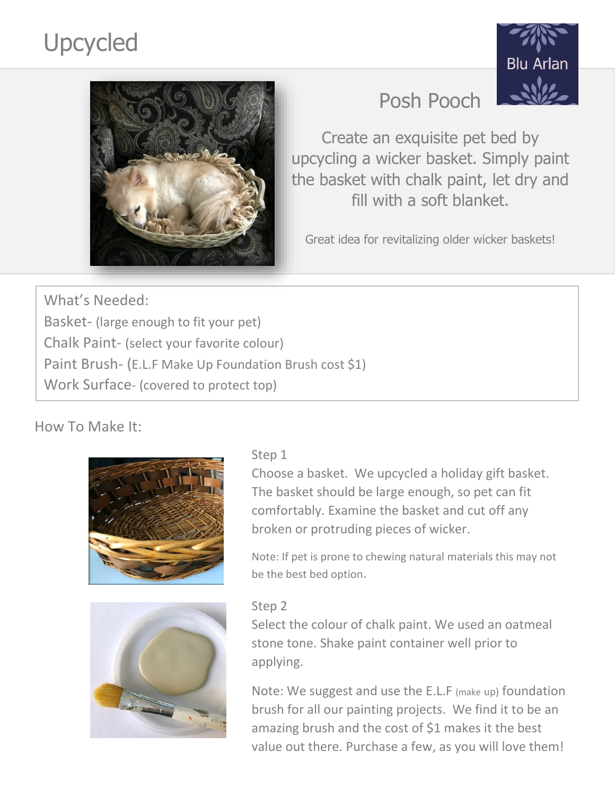# Upcycled





# Posh Pooch

Create an exquisite pet bed by upcycling a wicker basket. Simply paint the basket with chalk paint, let dry and fill with a soft blanket.

Great idea for revitalizing older wicker baskets!

What's Needed: Basket- (large enough to fit your pet) Chalk Paint- (select your favorite colour) Paint Brush- (E.L.F Make Up Foundation Brush cost \$1) Work Surface- (covered to protect top)

How To Make It:





### Step 1

Choose a basket. We upcycled a holiday gift basket. The basket should be large enough, so pet can fit comfortably. Examine the basket and cut off any broken or protruding pieces of wicker.

Note: If pet is prone to chewing natural materials this may not be the best bed option.

#### Step 2

Select the colour of chalk paint. We used an oatmeal stone tone. Shake paint container well prior to applying.

Note: We suggest and use the E.L.F (make up) foundation brush for all our painting projects. We find it to be an amazing brush and the cost of \$1 makes it the best value out there. Purchase a few, as you will love them!